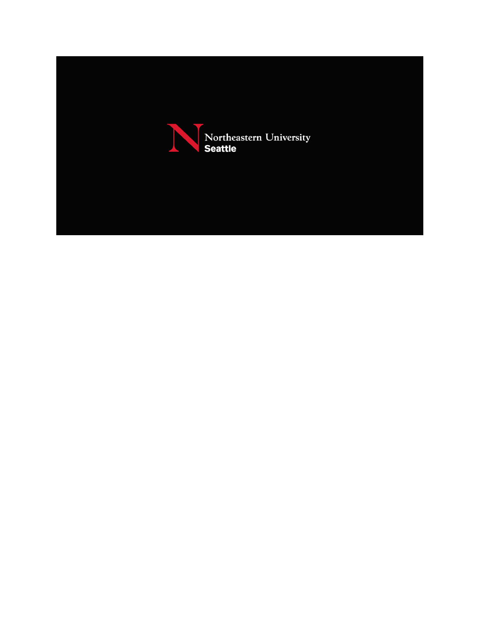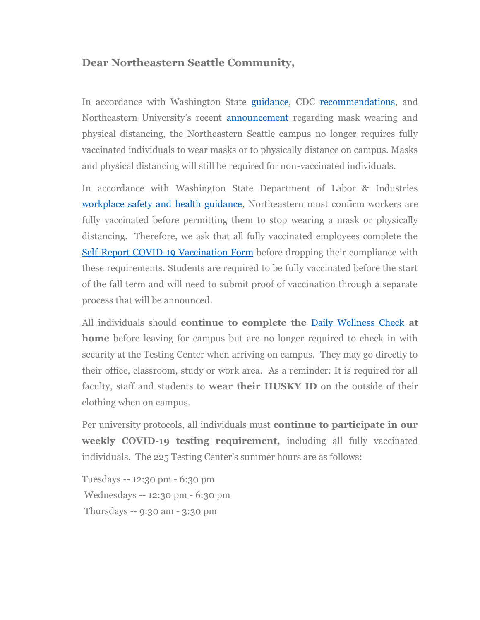## **Dear Northeastern Seattle Community,**

In accordance with Washington State [guidance,](https://nam12.safelinks.protection.outlook.com/?url=https%3A%2F%2Flni.wa.gov%2Fforms-publications%2FF414-179-000.pdf&data=04%7C01%7Co.ruggieri%40northeastern.edu%7C283b7d2c2b4148e6b76308d929f8bd92%7Ca8eec281aaa34daeac9b9a398b9215e7%7C0%7C0%7C637586970574367165%7CUnknown%7CTWFpbGZsb3d8eyJWIjoiMC4wLjAwMDAiLCJQIjoiV2luMzIiLCJBTiI6Ik1haWwiLCJXVCI6Mn0%3D%7C1000&sdata=xb7W%2BzqLmHF5sHmGpYQLIcSjl629FprQ9t8vcUGnns8%3D&reserved=0) CDC [recommendations,](https://nam12.safelinks.protection.outlook.com/?url=https%3A%2F%2Fwww.cdc.gov%2Fcoronavirus%2F2019-ncov%2Fdaily-life-coping%2Fgoing-out.html&data=04%7C01%7Co.ruggieri%40northeastern.edu%7C283b7d2c2b4148e6b76308d929f8bd92%7Ca8eec281aaa34daeac9b9a398b9215e7%7C0%7C0%7C637586970574377120%7CUnknown%7CTWFpbGZsb3d8eyJWIjoiMC4wLjAwMDAiLCJQIjoiV2luMzIiLCJBTiI6Ik1haWwiLCJXVCI6Mn0%3D%7C1000&sdata=6l2G1LxKJiEgQH1xFq5IEhdVKLwXRUPNasNlJBlLwwk%3D&reserved=0) and Northeastern University's recent **[announcement](https://nam12.safelinks.protection.outlook.com/?url=https%3A%2F%2Fnews.northeastern.edu%2F2021%2F05%2F19%2Fnortheastern-to-lift-mask-wearing-physical-distancing-requirements-on-massachusetts-campuses-by-memorial-day%2F&data=04%7C01%7Co.ruggieri%40northeastern.edu%7C283b7d2c2b4148e6b76308d929f8bd92%7Ca8eec281aaa34daeac9b9a398b9215e7%7C0%7C0%7C637586970574377120%7CUnknown%7CTWFpbGZsb3d8eyJWIjoiMC4wLjAwMDAiLCJQIjoiV2luMzIiLCJBTiI6Ik1haWwiLCJXVCI6Mn0%3D%7C1000&sdata=4WqIn3hqbSFAycD3dQBO5iGEN9OeUmpVAfqtlC26kXo%3D&reserved=0)** regarding mask wearing and physical distancing, the Northeastern Seattle campus no longer requires fully vaccinated individuals to wear masks or to physically distance on campus. Masks and physical distancing will still be required for non-vaccinated individuals.

In accordance with Washington State Department of Labor & Industries [workplace safety and health guidance,](https://nam12.safelinks.protection.outlook.com/?url=https%3A%2F%2Flni.wa.gov%2Fforms-publications%2FF414-179-000.pdf&data=04%7C01%7Co.ruggieri%40northeastern.edu%7C283b7d2c2b4148e6b76308d929f8bd92%7Ca8eec281aaa34daeac9b9a398b9215e7%7C0%7C0%7C637586970574387081%7CUnknown%7CTWFpbGZsb3d8eyJWIjoiMC4wLjAwMDAiLCJQIjoiV2luMzIiLCJBTiI6Ik1haWwiLCJXVCI6Mn0%3D%7C1000&sdata=KR8YWQAU%2BROPHLD94z1Zw7aIpohNUSYbdY0jiP0QG6w%3D&reserved=0) Northeastern must confirm workers are fully vaccinated before permitting them to stop wearing a mask or physically distancing. Therefore, we ask that all fully vaccinated employees complete the [Self-Report COVID-19 Vaccination Form](https://nam12.safelinks.protection.outlook.com/?url=https%3A%2F%2Fservice.northeastern.edu%2Fwellness%3Fid%3Dwellness_cat_item%26sys_id%3D5d3a3bbcdbf3e4102d2caa82ca961913&data=04%7C01%7Co.ruggieri%40northeastern.edu%7C283b7d2c2b4148e6b76308d929f8bd92%7Ca8eec281aaa34daeac9b9a398b9215e7%7C0%7C0%7C637586970574387081%7CUnknown%7CTWFpbGZsb3d8eyJWIjoiMC4wLjAwMDAiLCJQIjoiV2luMzIiLCJBTiI6Ik1haWwiLCJXVCI6Mn0%3D%7C1000&sdata=i%2Ft8bEbU0zPgx5aYno0I8Vj5Cqnt6K5Z0%2BrL3jX8oIc%3D&reserved=0) before dropping their compliance with these requirements. Students are required to be fully vaccinated before the start of the fall term and will need to submit proof of vaccination through a separate process that will be announced.

All individuals should **continue to complete the** [Daily Wellness Check](https://nam12.safelinks.protection.outlook.com/?url=https%3A%2F%2Fservice.northeastern.edu%2Fwellness%3Fid%3Dwellness_cat_item%26sys_id%3D340f4312dbda1c102d2caa82ca9619bf&data=04%7C01%7Co.ruggieri%40northeastern.edu%7C38531f865b404974a8b308d929df7625%7Ca8eec281aaa34daeac9b9a398b9215e7%7C0%7C0%7C637586862906041395%7CUnknown%7CTWFpbGZsb3d8eyJWIjoiMC4wLjAwMDAiLCJQIjoiV2luMzIiLCJBTiI6Ik1haWwiLCJXVCI6Mn0%3D%7C1000&sdata=m%2FcIn%2Br9470c1OPsPrHVu2ATIdtQPghAvNZ2kNe%2FaO4%3D&reserved=0) **at home** before leaving for campus but are no longer required to check in with security at the Testing Center when arriving on campus. They may go directly to their office, classroom, study or work area. As a reminder: It is required for all faculty, staff and students to **wear their HUSKY ID** on the outside of their clothing when on campus.

Per university protocols, all individuals must **continue to participate in our weekly COVID-19 testing requirement,** including all fully vaccinated individuals. The 225 Testing Center's summer hours are as follows:

Tuesdays -- 12:30 pm - 6:30 pm Wednesdays -- 12:30 pm - 6:30 pm Thursdays -- 9:30 am - 3:30 pm